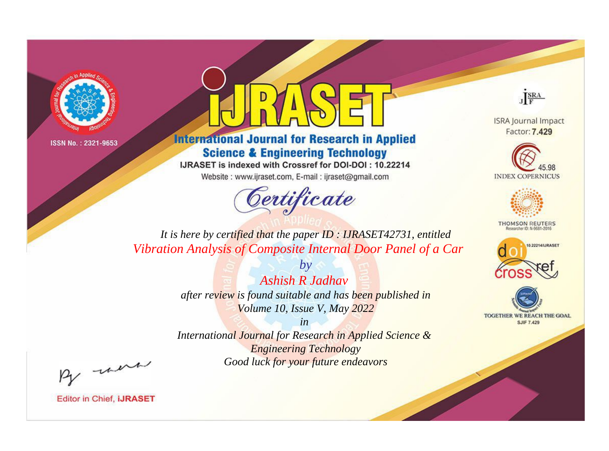



**International Journal for Research in Applied Science & Engineering Technology** 

IJRASET is indexed with Crossref for DOI-DOI: 10.22214

Website: www.ijraset.com, E-mail: ijraset@gmail.com



JERA

**ISRA Journal Impact** Factor: 7.429





**THOMSON REUTERS** 



TOGETHER WE REACH THE GOAL **SJIF 7.429** 

*It is here by certified that the paper ID : IJRASET42731, entitled Vibration Analysis of Composite Internal Door Panel of a Car*

> *by Ashish R Jadhav after review is found suitable and has been published in Volume 10, Issue V, May 2022*

> > *in*

*International Journal for Research in Applied Science & Engineering Technology Good luck for your future endeavors*

By morn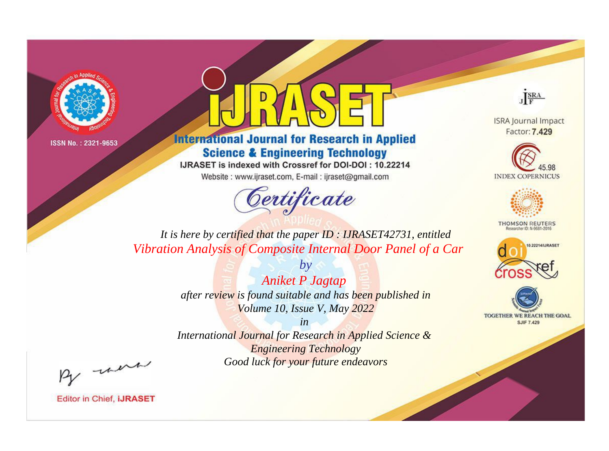



**International Journal for Research in Applied Science & Engineering Technology** 

IJRASET is indexed with Crossref for DOI-DOI: 10.22214

Website: www.ijraset.com, E-mail: ijraset@gmail.com



JERA

**ISRA Journal Impact** Factor: 7.429





**THOMSON REUTERS** 



TOGETHER WE REACH THE GOAL **SJIF 7.429** 

*It is here by certified that the paper ID : IJRASET42731, entitled Vibration Analysis of Composite Internal Door Panel of a Car*

> *by Aniket P Jagtap after review is found suitable and has been published in Volume 10, Issue V, May 2022*

> > *in*

*International Journal for Research in Applied Science & Engineering Technology Good luck for your future endeavors*

By morn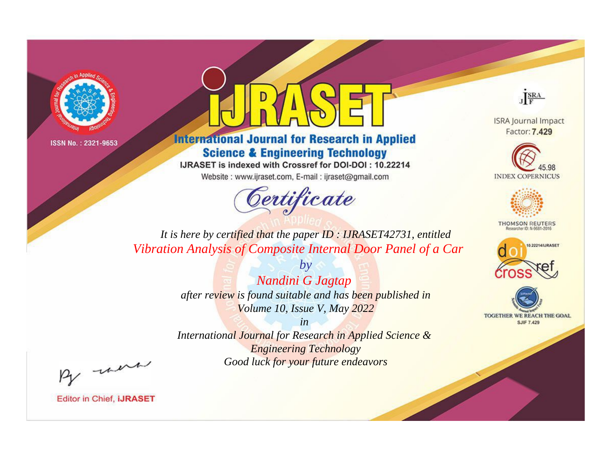



**International Journal for Research in Applied Science & Engineering Technology** 

IJRASET is indexed with Crossref for DOI-DOI: 10.22214

Website: www.ijraset.com, E-mail: ijraset@gmail.com



JERA

**ISRA Journal Impact** Factor: 7.429





**THOMSON REUTERS** 



TOGETHER WE REACH THE GOAL **SJIF 7.429** 

*It is here by certified that the paper ID : IJRASET42731, entitled Vibration Analysis of Composite Internal Door Panel of a Car*

> *by Nandini G Jagtap after review is found suitable and has been published in Volume 10, Issue V, May 2022*

> > *in*

*International Journal for Research in Applied Science & Engineering Technology Good luck for your future endeavors*

By morn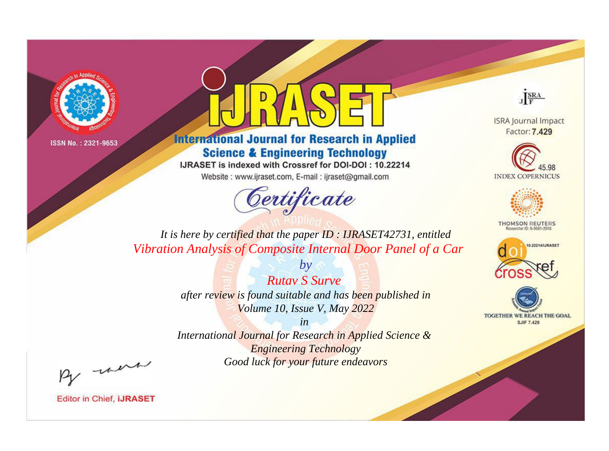



**International Journal for Research in Applied Science & Engineering Technology** 

IJRASET is indexed with Crossref for DOI-DOI: 10.22214

Website: www.ijraset.com, E-mail: ijraset@gmail.com



JERA

**ISRA Journal Impact** Factor: 7.429





**THOMSON REUTERS** 



TOGETHER WE REACH THE GOAL **SJIF 7.429** 

*It is here by certified that the paper ID : IJRASET42731, entitled Vibration Analysis of Composite Internal Door Panel of a Car*

> *Rutav S Surve after review is found suitable and has been published in Volume 10, Issue V, May 2022*

*by*

*in* 

*International Journal for Research in Applied Science & Engineering Technology Good luck for your future endeavors*

By morn